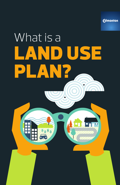**Edmonton** 

 $\overline{\mathbf{u}}$ 

# What is a LAND USE AN?  $\overline{\textbf{v}}$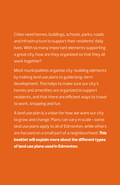Cities need homes, buildings, schools, parks, roads and infrastructure to support their residents' daily lives. With so many important elements supporting a great city, how are they organized so that they all work together?

Most municipalities organize city-building elements by making land use plans to guide long-term development. This helps to make sure our city's homes and amenities are organized to support residents, and that there are efficient ways to travel to work, shopping and fun.

A land use plan is a vision for how we want our city to grow and change. Plans can vary in scale—some land use plans apply to all of Edmonton, while others are focused on a small part of a neighbourhood. **This booklet will explain more about the different types of land use plans used in Edmonton.**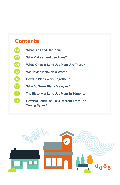### **Contents**

- **What is a Land Use Plan?**
- **Who Makes Land Use Plans?**
- **What Kinds of Land Use Plans Are There?**
- **We Have a Plan...Now What?**
- **How Do Plans Work Together?**
- **Why Do Some Plans Disagree?**
- **The History of Land Use Plans in Edmonton**
- **14 How is a Land Use Plan Different From The Zoning Bylaw?**

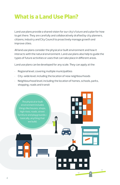# **What is a Land Use Plan?**

Land use plans provide a shared vision for our city's future and a plan for how to get there. They are carefully and collaboratively drafted by city planners, citizens, industry and City Council to proactively manage growth and improve cities.

All land use plans consider the physical or built environment and how it interacts with the natural environment. Land use plans also help to guide the types of future activities or uses that can take place in different areas.

Land use plans can be developed for any scale. They can apply at the:

- Regional level, covering multiple municipalities
- City-wide level, including the location of new neighbourhoods
- Neighbourhood level, including the location of homes, schools, parks, shopping, roads and transit

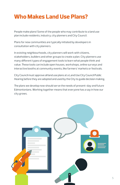# **Who Makes Land Use Plans?**

People make plans! Some of the people who may contribute to a land use plan include residents, industry, city planners and City Council.

Plans for new communities are typically initiated by developers in consultation with city planners.

In existing neighbourhoods, city planners will work with citizens, stakeholders, builders and other groups to create a plan. City planners use many different types of engagement tools to learn what people think and value. These tools can include open houses, workshops, online surveys and interactive booths at community events, like farmers' markets or festivals.

City Council must approve all land use plans at a Land Use City Council Public Hearing before they are adopted and used by the City to guide decision making.

The plans we develop now should serve the needs of present-day *and* future Edmontonians. Working together means that everyone has a say in how our city grows.

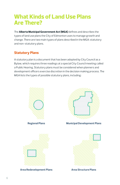### **What Kinds of Land Use Plans Are There?**

The **Alberta Municipal Government Act (MGA)** defines and describes the types of land use plans the City of Edmonton uses to manage growth and change. There are two main types of plans described in the MGA: statutory and non-statutory plans.

### **Statutory Plans**

A statutory plan is a document that has been adopted by City Council as a Bylaw, which requires three readings at a special City Council meeting called a Public Hearing. Statutory plans must be considered when planners and development officers exercise discretion in the decision making process. The MGA lists the types of possible statutory plans, including:

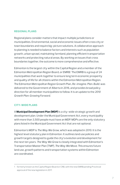### **REGIONAL PLANS**

Regional plans consider matters that impact multiple jurisdictions or municipalities. Environmental, social and economic issues often cross city or town boundaries and require big-picture solutions. A collaborative approach to planning is needed to balance factors and interests such as population growth, urban sprawl, maintaining farmland, planning efficient transportation networks and protecting natural areas. By working on issues that cross boundaries together, the outcome is more comprehensive and effective.

Edmonton is the largest city within the Capital Region and a member of the Edmonton Metropolitan Region Board, or EMRB.<sup>1</sup> The EMRB is a group of 24 municipalities that work together to ensure long term economic prosperity and quality of life for all citizens within the Edmonton Metropolitan Region. The Edmonton Metropolitan Region Growth Plan, *Re-imagine. Plan. Build.* was delivered to the Government of Alberta in 2016, and provides broad policy direction for all member municipalities to follow. It is an update to the *2010 Growth Plan: Growing Forward*.

### **CITY-WIDE PLANS**

A **Municipal Development Plan (MDP)** is a city-wide strategic growth and development plan. Under the Municipal Government Act, every municipality with more than 3,500 people must have an MDP. MDPs are the only statutory plans listed in the Municipal Government Act that are not optional.

Edmonton's MDP is *The Way We Grow*, which was adopted in 2010. It is the highest level statutory plan in Edmonton. It outlines land use policies and growth targets designed to guide the city's evolution and development for the next ten years. *The Way We Grow* is closely integrated with Edmonton's Transportation Master Plan (TMP), *The Way We Move*. This ensures future land use, growth patterns and transportation systems within Edmonton are coordinated.

<sup>1</sup> formerly known as the Capital Region Board or CRB, with the new EMRB pending Provincial approval of the new legislation in 2017.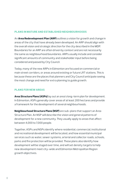#### **PLANS IN MATURE AND ESTABLISHED NEIGHBOURHOODS**

An **Area Redevelopment Plan (ARP)** outlines a vision for growth and change in areas of the city that have already been developed. An ARP should align with the overall vision and strategic direction for the city described in the MDP. Boundaries for an ARP are often driven by context and are not necessarily the same as neighbourhood boundaries. ARPs usually include and consider significant amounts of community and stakeholder input before being considered and passed by City Council.

Today, many of the new ARPs in Edmonton are focused on commercial or main street corridors, or areas around existing or future LRT stations. This is because these are the places that planners and City Council anticipate seeing the most change and need for extra planning to guide growth.

#### **PLANS FOR NEW AREAS**

**Area Structure Plans (ASPs)** lay out an area's long-term plan for development. In Edmonton, ASPs generally cover areas of at least 200 hectares and provide a framework for the development of several neighbourhoods.

**Neighbourhood Structure Plans (NSP)** are sub-plans that support an Area Structure Plan. An NSP will describe the vision and general patterns of development for a new community. They usually apply to areas that affect between 4,000 to 7,000 people.

Together, ASPs and NSPs identify where residential, commercial, institutional and recreational development will be located, and how essential municipal services such as water, sewer systems, arterial and collector roads, schools, parks and fire protection will be provided. These plans also identify how development will be staged over time, and will set density targets to help new development meet city-wide and Edmonton Metropolitan Region growth objectives.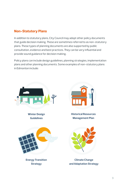### **Non-Statutory Plans**

In addition to statutory plans, City Council may adopt other policy documents that guide decision making. These are sometimes referred to as non-statutory plans. These types of planning documents are also supported by public consultation, evidence and best practices. They can be very influential and provide sound guidance for decision making.

Policy plans can include design guidelines, planning strategies, implementation plans and other planning documents. Some examples of non-statutory plans in Edmonton include:



**Winter Design Guidelines**



**Historical Resources Management Plan**



**Energy Transition Strategy**



**Climate Change and Adaptation Strategy**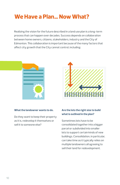# **We Have a Plan… Now What?**

Realizing the vision for the future described in a land use plan is a long-term process that can happen over decades. Success depends on collaboration between home owners, citizens, stakeholders, industry and the City of Edmonton. This collaboration is important because of the many factors that affect city growth that the City cannot control, including:



#### **What the landowner wants to do.**

Do they want to keep their property as it is, redevelop it themselves or sell it to someone else?



### **Are the lots the right size to build what is outlined in the plan?**

Sometimes lots have to be consolidated together into a bigger parcel or subdivided into smaller lots to support certain kinds of new buildings. Consolidation, in particular, can take time as it typically relies on multiple landowners all agreeing to sell their land for redevelopment.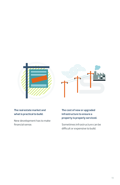



### **The real estate market and what is practical to build.**

New development has to make financial sense.

**The cost of new or upgraded infrastructure to ensure a property is properly serviced.** 

Sometimes infrastructure can be difficult or expensive to build.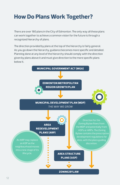# **How Do Plans Work Together?**

There are over 180 plans in the City of Edmonton. The only way all these plans can work together to achieve a common vision for the future is through a recognized hierarchy of plans.

The direction provided by plans at the top of the hierarchy is fairly general. As you go down the hierarchy, guidance becomes more specific and detailed. Planning done at any level of the hierarchy should comply with the direction given by plans above it and must give direction to the more specific plans below it.

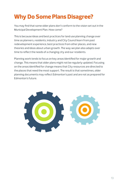# **Why Do Some Plans Disagree?**

You may find that some older plans don't conform to the vision set out in the Municipal Development Plan. How come?

This is because ideas and best practices for land use planning change over time as planners, residents, industry and City Council learn from past redevelopment experience, best practices from other places, and new theories and ideas about urban growth. The way we plan also adapts over time to reflect the needs of a changing city and our residents.

Planning work tends to focus on key areas identified for major growth and change. This means that older plans might not be regularly updated. Focusing on the areas identified for change means that City resources are directed to the places that need the most support. The result is that sometimes, older planning documents may reflect Edmonton's past and are not as prepared for Edmonton's future.

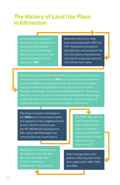### **The History of Land Use Plans in Edmonton**

Land use planning began in Edmonton when a settlement was established outside the fort. A public meeting to discuss the location of a main street and market square was held in **1881**.

Edmonton's first city-wide plans were prepared in 1907 and 1912. These plans focused on beautification and resulted in the city's first parks, the downtown civic centre and preservation of most of the river valley.

Edmonton grew rapidly after World War II because of the baby boom and discovery of oil nearby. In **1949**, the City of Edmonton hired Noel Dant to establish a planning department. Dant and his successors prepared dozens of neighbourhood unit plans for areas such as Parkallen, Sherbrooke, Holyrood and Meadowlark Park. These were plans for the auto age, with street networks designed to discourage traffic near homes and schools but with wide roads at the edges of neighbourhoods to connect drivers to offices and industry.

Planning on a larger scale began in the **1960s** with a move toward plans that applied to many neighbourhoods at once. The first of these was the 1971 *Mill Woods Development Plan*, which identified eight new communities and a town centre.

The 1960s also saw the first comprehensive municipal plans. The first municipal plan was prepared in 1963. It was revised multiple times and finally adopted in 1971.

Edmonton's current Municipal Development Plan, *The Way We Grow*, was approved in 2010. It embraces development "up, in and out."

New municipal plans with policies reflecting their times were approved in 1980, 1990 and 1998.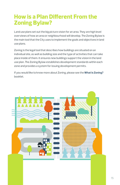## **How is a Plan Different From the Zoning Bylaw?**

Land use plans set out the big picture vision for an area. They are high level overviews of how an area or neighbourhood will develop. The Zoning Bylaw is the main tool that the City uses to implement the goals and objectives in land use plans.

Zoning is the legal tool that describes how buildings are situated on an individual site, as well as building size and the type of activities that can take place inside of them. It ensures new buildings support the vision in the land use plan. The Zoning Bylaw establishes development standards within each zone and provides a system for issuing development permits.

If you would like to know more about Zoning, please see the **What Is Zoning?** booklet.